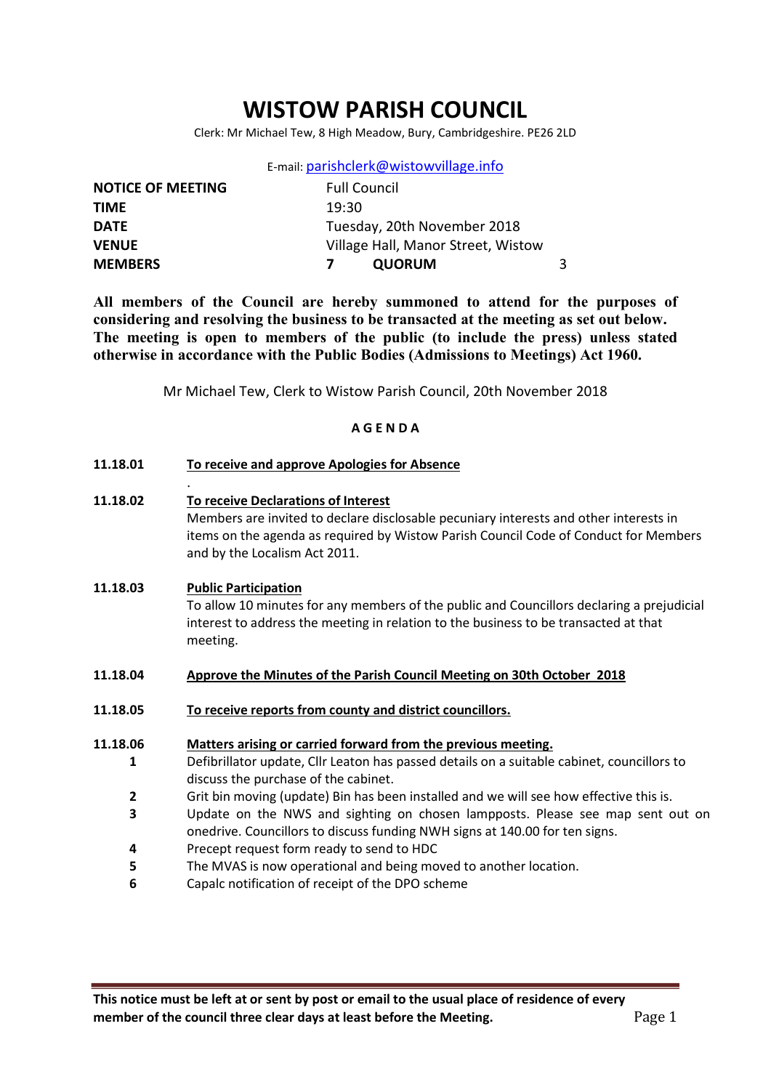# WISTOW PARISH COUNCIL

Clerk: Mr Michael Tew, 8 High Meadow, Bury, Cambridgeshire. PE26 2LD

| E-mail: parishclerk@wistowvillage.info |  |
|----------------------------------------|--|
|----------------------------------------|--|

| <b>NOTICE OF MEETING</b> | <b>Full Council</b>                |  |
|--------------------------|------------------------------------|--|
| <b>TIME</b>              | 19:30                              |  |
| <b>DATE</b>              | Tuesday, 20th November 2018        |  |
| <b>VENUE</b>             | Village Hall, Manor Street, Wistow |  |
| <b>MEMBERS</b>           | <b>QUORUM</b>                      |  |

All members of the Council are hereby summoned to attend for the purposes of considering and resolving the business to be transacted at the meeting as set out below. The meeting is open to members of the public (to include the press) unless stated otherwise in accordance with the Public Bodies (Admissions to Meetings) Act 1960.

Mr Michael Tew, Clerk to Wistow Parish Council, 20th November 2018

### A G E N D A

11.18.01 To receive and approve Apologies for Absence

.

11.18.02 To receive Declarations of Interest Members are invited to declare disclosable pecuniary interests and other interests in items on the agenda as required by Wistow Parish Council Code of Conduct for Members and by the Localism Act 2011.

# 11.18.03 Public Participation To allow 10 minutes for any members of the public and Councillors declaring a prejudicial interest to address the meeting in relation to the business to be transacted at that meeting.

- 11.18.04 Approve the Minutes of the Parish Council Meeting on 30th October 2018
- 11.18.05 To receive reports from county and district councillors.
- 11.18.06 Matters arising or carried forward from the previous meeting.
	- 1 Defibrillator update, Cllr Leaton has passed details on a suitable cabinet, councillors to discuss the purchase of the cabinet.
	- $\overline{\mathbf{z}}$ Grit bin moving (update) Bin has been installed and we will see how effective this is.
	- 3 Update on the NWS and sighting on chosen lampposts. Please see map sent out on onedrive. Councillors to discuss funding NWH signs at 140.00 for ten signs.
	- 4 Precept request form ready to send to HDC
	- 5 The MVAS is now operational and being moved to another location.
	- 6 Capalc notification of receipt of the DPO scheme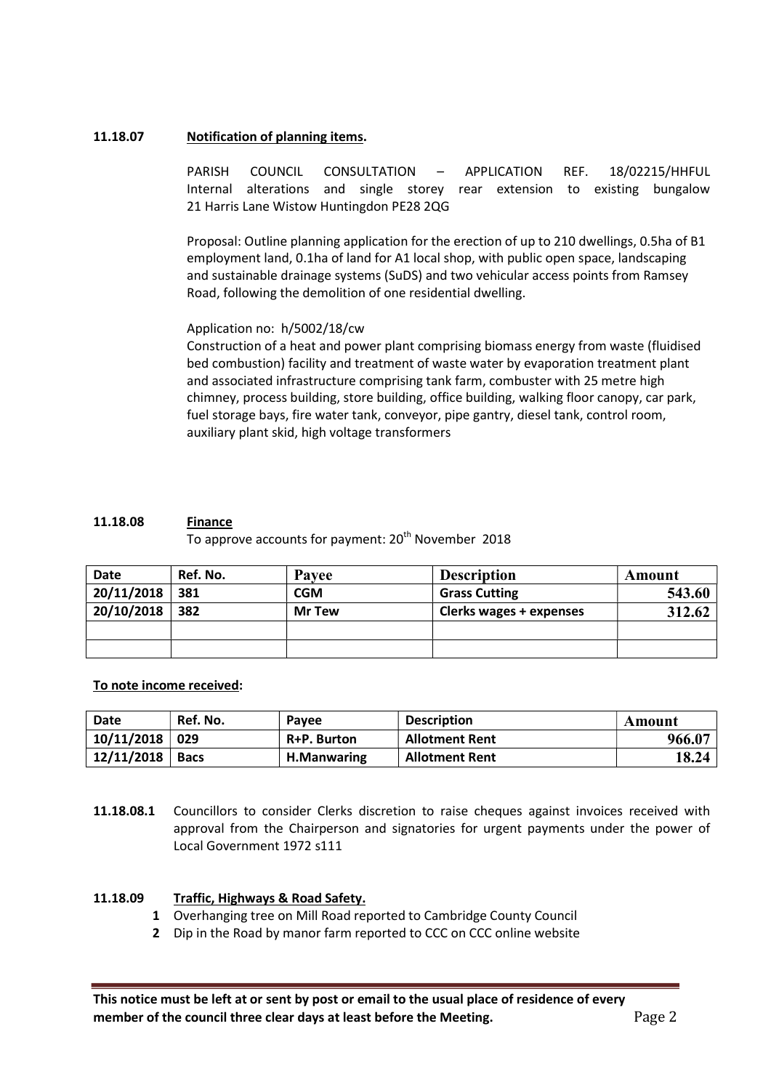# 11.18.07 Notification of planning items.

PARISH COUNCIL CONSULTATION – APPLICATION REF. 18/02215/HHFUL Internal alterations and single storey rear extension to existing bungalow 21 Harris Lane Wistow Huntingdon PE28 2QG

Proposal: Outline planning application for the erection of up to 210 dwellings, 0.5ha of B1 employment land, 0.1ha of land for A1 local shop, with public open space, landscaping and sustainable drainage systems (SuDS) and two vehicular access points from Ramsey Road, following the demolition of one residential dwelling.

# Application no: h/5002/18/cw

Construction of a heat and power plant comprising biomass energy from waste (fluidised bed combustion) facility and treatment of waste water by evaporation treatment plant and associated infrastructure comprising tank farm, combuster with 25 metre high chimney, process building, store building, office building, walking floor canopy, car park, fuel storage bays, fire water tank, conveyor, pipe gantry, diesel tank, control room, auxiliary plant skid, high voltage transformers

### 11.18.08 Finance

To approve accounts for payment: 20<sup>th</sup> November 2018

| <b>Date</b> | Ref. No. | Payee         | <b>Description</b>      | Amount |
|-------------|----------|---------------|-------------------------|--------|
| 20/11/2018  | 381      | CGM           | <b>Grass Cutting</b>    | 543.60 |
| 20/10/2018  | 382      | <b>Mr Tew</b> | Clerks wages + expenses | 312.62 |
|             |          |               |                         |        |
|             |          |               |                         |        |

### To note income received:

| <b>Date</b> | Ref. No.    | <b>Pavee</b>       | <b>Description</b>    | Amount |
|-------------|-------------|--------------------|-----------------------|--------|
| 10/11/2018  | 029         | R+P. Burton        | <b>Allotment Rent</b> | 966.07 |
| 12/11/2018  | <b>Bacs</b> | <b>H.Manwaring</b> | <b>Allotment Rent</b> | 18.24  |

11.18.08.1 Councillors to consider Clerks discretion to raise cheques against invoices received with approval from the Chairperson and signatories for urgent payments under the power of Local Government 1972 s111

#### 11.18.09 Traffic, Highways & Road Safety.

- 1 Overhanging tree on Mill Road reported to Cambridge County Council
- 2 Dip in the Road by manor farm reported to CCC on CCC online website